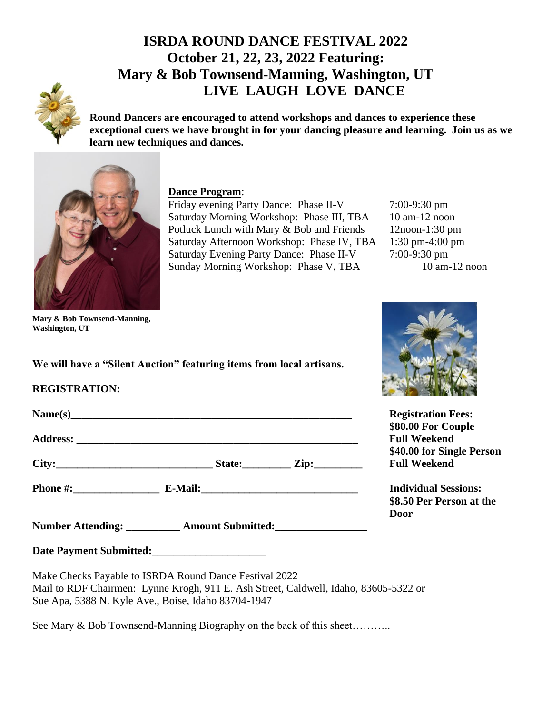# **ISRDA ROUND DANCE FESTIVAL 2022 October 21, 22, 23, 2022 Featuring: Mary & Bob Townsend-Manning, Washington, UT LIVE LAUGH LOVE DANCE**



**Round Dancers are encouraged to attend workshops and dances to experience these exceptional cuers we have brought in for your dancing pleasure and learning. Join us as we learn new techniques and dances.**



### **Dance Program**:

Friday evening Party Dance: Phase II-V 7:00-9:30 pm Saturday Morning Workshop: Phase III, TBA 10 am-12 noon Potluck Lunch with Mary & Bob and Friends 12noon-1:30 pm Saturday Afternoon Workshop: Phase IV, TBA 1:30 pm-4:00 pm Saturday Evening Party Dance: Phase II-V 7:00-9:30 pm Sunday Morning Workshop: Phase V, TBA 10 am-12 noon

**Mary & Bob Townsend-Manning, Washington, UT**

**We will have a "Silent Auction" featuring items from local artisans.**

## **REGISTRATION:**

**Phone #:\_\_\_\_\_\_\_\_\_\_\_\_\_\_\_\_ E-Mail:\_\_\_\_\_\_\_\_\_\_\_\_\_\_\_\_\_\_\_\_\_\_\_\_\_\_\_\_\_ Individual Sessions:**

Number Attending: \_\_\_\_\_\_\_\_\_\_ Amount Submitted: \_\_\_\_\_\_\_\_\_\_\_\_\_\_\_\_\_\_\_\_\_\_\_\_\_\_\_\_\_\_\_\_\_\_

**Date Payment Submitted:\_\_\_\_\_\_\_\_\_\_\_\_\_\_\_\_\_\_\_\_\_**

Make Checks Payable to ISRDA Round Dance Festival 2022 Mail to RDF Chairmen: Lynne Krogh, 911 E. Ash Street, Caldwell, Idaho, 83605-5322 or Sue Apa, 5388 N. Kyle Ave., Boise, Idaho 83704-1947

See Mary & Bob Townsend-Manning Biography on the back of this sheet………..



**Name(s)\_\_\_\_\_\_\_\_\_\_\_\_\_\_\_\_\_\_\_\_\_\_\_\_\_\_\_\_\_\_\_\_\_\_\_\_\_\_\_\_\_\_\_\_\_\_\_\_\_\_\_\_ Registration Fees: \$80.00 For Couple Address: \_\_\_\_\_\_\_\_\_\_\_\_\_\_\_\_\_\_\_\_\_\_\_\_\_\_\_\_\_\_\_\_\_\_\_\_\_\_\_\_\_\_\_\_\_\_\_\_\_\_\_\_ Full Weekend \$40.00 for Single Person City:\_\_\_\_\_\_\_\_\_\_\_\_\_\_\_\_\_\_\_\_\_\_\_\_\_\_\_\_\_ State:\_\_\_\_\_\_\_\_\_ Zip:\_\_\_\_\_\_\_\_\_ Full Weekend**

> **\$8.50 Per Person at the Door**